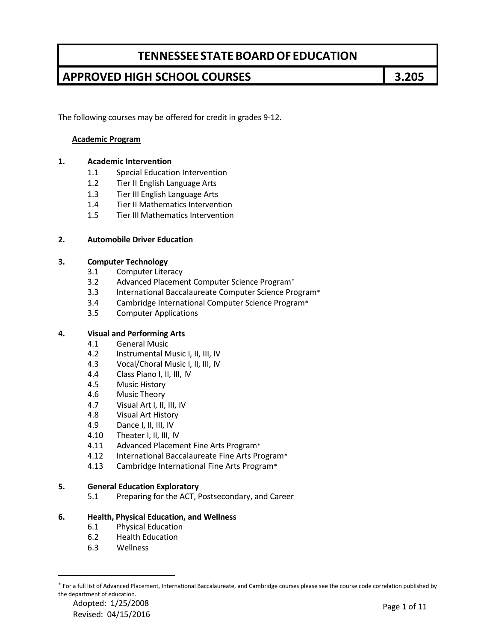## **APPROVED HIGH SCHOOL COURSES 3.205**

The following courses may be offered for credit in grades 9-12.

### **Academic Program**

### **1. Academic Intervention**

- 1.1 Special Education Intervention
- 1.2 Tier II English Language Arts
- 1.3 Tier III English Language Arts
- 1.4 Tier II Mathematics Intervention
- 1.5 Tier III Mathematics Intervention

#### **2. Automobile Driver Education**

#### **3. Computer Technology**

- 3.1 Computer Literacy
- 3.2 Advanced Placement Computer Science Program[∗](#page-0-0)
- 3.3 International Baccalaureate Computer Science Program\*
- 3.4 Cambridge International Computer Science Program\*
- 3.5 Computer Applications

#### **4. Visual and Performing Arts**

- 4.1 General Music
- 4.2 Instrumental Music I, II, III, IV
- 4.3 Vocal/Choral Music I, II, III, IV
- 4.4 Class Piano I, II, III, IV
- 4.5 Music History
- 4.6 Music Theory
- 4.7 Visual Art I, II, III, IV
- 4.8 Visual Art History
- 4.9 Dance I, II, III, IV
- 4.10 Theater I, II, III, IV
- 4.11 Advanced Placement Fine Arts Program\*
- 4.12 International Baccalaureate Fine Arts Program\*
- 4.13 Cambridge International Fine Arts Program\*

#### **5. General Education Exploratory**

5.1 Preparing for the ACT, Postsecondary, and Career

#### **6. Health, Physical Education, and Wellness**

- 6.1 Physical Education
- 6.2 Health Education
- 6.3 Wellness

 $\overline{a}$ 

<span id="page-0-0"></span><sup>∗</sup> For a full list of Advanced Placement, International Baccalaureate, and Cambridge courses please see the course code correlation published by the department of education.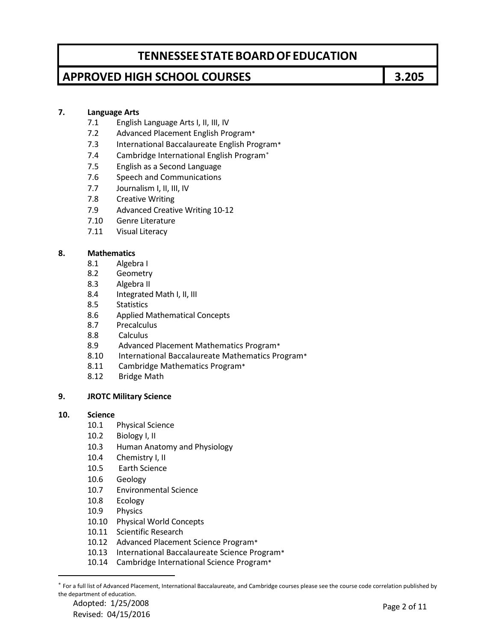## **APPROVED HIGH SCHOOL COURSES 3.205**

### **7. Language Arts**

- 7.1 English Language Arts I, II, III, IV
- 7.2 Advanced Placement English Program\*
- 7.3 International Baccalaureate English Program\*
- 7.4 Cambridge International English Program[∗](#page-1-0)
- 7.5 English as a Second Language
- 7.6 Speech and Communications
- 7.7 Journalism I, II, III, IV
- 7.8 Creative Writing
- 7.9 Advanced Creative Writing 10-12
- 7.10 Genre Literature
- 7.11 Visual Literacy

#### **8. Mathematics**

- 8.1 Algebra I
- 8.2 Geometry
- 8.3 Algebra II
- 8.4 Integrated Math I, II, III
- 8.5 Statistics
- 8.6 Applied Mathematical Concepts
- 8.7 Precalculus
- 8.8 Calculus
- 8.9 Advanced Placement Mathematics Program\*
- 8.10 International Baccalaureate Mathematics Program\*
- 8.11 Cambridge Mathematics Program\*
- 8.12 Bridge Math

### **9. JROTC Military Science**

#### **10. Science**

- 10.1 Physical Science
- 10.2 Biology I, II
- 10.3 Human Anatomy and Physiology
- 10.4 Chemistry I, II
- 10.5 Earth Science
- 10.6 Geology
- 10.7 Environmental Science
- 10.8 Ecology
- 10.9 Physics
- 10.10 Physical World Concepts
- 10.11 Scientific Research
- 10.12 Advanced Placement Science Program\*
- 10.13 International Baccalaureate Science Program\*
- 10.14 Cambridge International Science Program\*

Adopted: 1/25/2008 Adopted: 1/25/2008<br>Revised: 04/15/2016 Page 2 of 11

 $\overline{a}$ 

<span id="page-1-0"></span><sup>∗</sup> For a full list of Advanced Placement, International Baccalaureate, and Cambridge courses please see the course code correlation published by the department of education.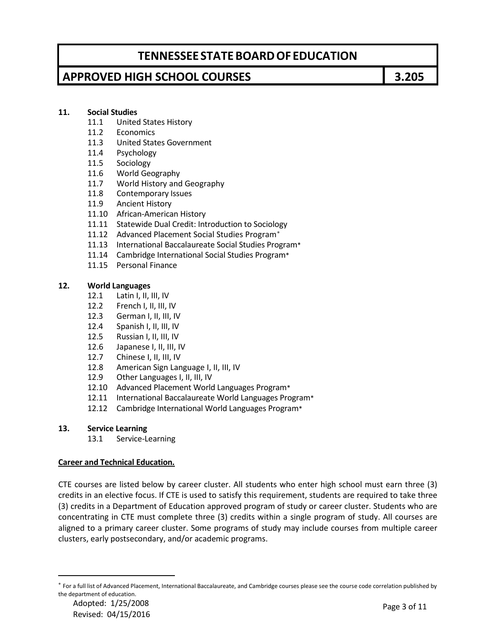## **APPROVED HIGH SCHOOL COURSES 3.205**

### **11. Social Studies**

- 11.1 United States History
- 11.2 Economics
- 11.3 United States Government
- 11.4 Psychology
- 11.5 Sociology
- 11.6 World Geography
- 11.7 World History and Geography
- 11.8 Contemporary Issues
- 11.9 Ancient History
- 11.10 African-American History
- 11.11 Statewide Dual Credit: Introduction to Sociology
- 11.12 Advanced Placement Social Studies Program<sup>\*</sup>
- 11.13 International Baccalaureate Social Studies Program\*
- 11.14 Cambridge International Social Studies Program\*
- 11.15 Personal Finance

#### **12. World Languages**

- 12.1 Latin I, II, III, IV
- 12.2 French I, II, III, IV
- 12.3 German I, II, III, IV
- 12.4 Spanish I, II, III, IV
- 
- 12.5 Russian I, II, III, IV<br>12.6 Japanese I, II, III, I Japanese I, II, III, IV
- 12.7 Chinese I, II, III, IV
- 12.8 American Sign Language I, II, III, IV
- 12.9 Other Languages I, II, III, IV
- 12.10 Advanced Placement World Languages Program\*
- 12.11 International Baccalaureate World Languages Program\*
- 12.12 Cambridge International World Languages Program\*

#### **13. Service Learning**

13.1 Service-Learning

#### **Career and Technical Education.**

CTE courses are listed below by career cluster. All students who enter high school must earn three (3) credits in an elective focus. If CTE is used to satisfy this requirement, students are required to take three (3) credits in a Department of Education approved program of study or career cluster. Students who are concentrating in CTE must complete three (3) credits within a single program of study. All courses are aligned to a primary career cluster. Some programs of study may include courses from multiple career clusters, early postsecondary, and/or academic programs.

 $\overline{a}$ 

<span id="page-2-0"></span><sup>∗</sup> For a full list of Advanced Placement, International Baccalaureate, and Cambridge courses please see the course code correlation published by the department of education.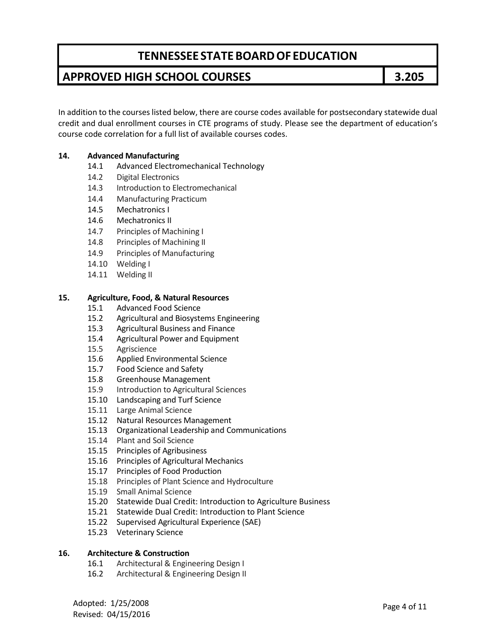## **APPROVED HIGH SCHOOL COURSES 3.205**

In addition to the courses listed below, there are course codes available for postsecondary statewide dual credit and dual enrollment courses in CTE programs of study. Please see the department of education's course code correlation for a full list of available courses codes.

### **14. Advanced Manufacturing**

- 14.1 Advanced Electromechanical Technology
- 14.2 Digital Electronics
- 14.3 Introduction to Electromechanical
- 14.4 Manufacturing Practicum
- 14.5 Mechatronics I
- 14.6 Mechatronics II
- 14.7 Principles of Machining I
- 14.8 Principles of Machining II
- 14.9 Principles of Manufacturing
- 14.10 Welding I
- 14.11 Welding II

#### **15. Agriculture, Food, & Natural Resources**

- 15.1 Advanced Food Science
- 15.2 Agricultural and Biosystems Engineering
- 15.3 Agricultural Business and Finance
- 15.4 Agricultural Power and Equipment
- 15.5 Agriscience
- 15.6 Applied Environmental Science
- 15.7 Food Science and Safety
- 15.8 Greenhouse Management
- 15.9 Introduction to Agricultural Sciences
- 15.10 Landscaping and Turf Science
- 15.11 Large Animal Science
- 15.12 Natural Resources Management
- 15.13 Organizational Leadership and Communications
- 15.14 Plant and Soil Science
- 15.15 Principles of Agribusiness
- 15.16 Principles of Agricultural Mechanics
- 15.17 Principles of Food Production
- 15.18 Principles of Plant Science and Hydroculture
- 15.19 Small Animal Science
- 15.20 Statewide Dual Credit: Introduction to Agriculture Business
- 15.21 Statewide Dual Credit: Introduction to Plant Science
- 15.22 Supervised Agricultural Experience (SAE)
- 15.23 Veterinary Science

#### **16. Architecture & Construction**

- 16.1 Architectural & Engineering Design I
- 16.2 Architectural & Engineering Design II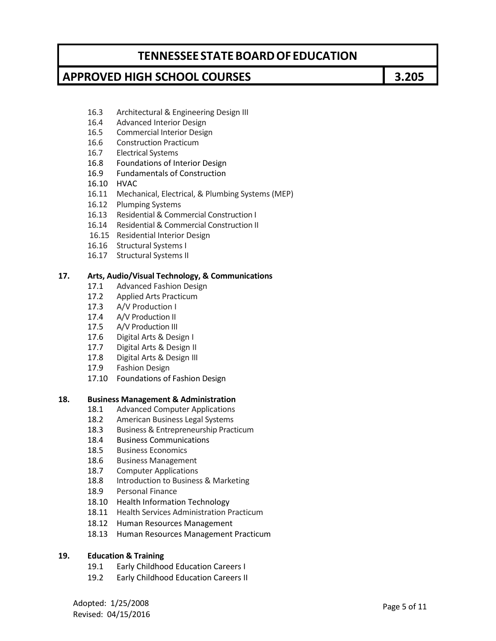### **APPROVED HIGH SCHOOL COURSES 3.205**

- 16.3 Architectural & Engineering Design III
- 16.4 Advanced Interior Design
- 16.5 Commercial Interior Design
- 16.6 Construction Practicum
- 16.7 Electrical Systems
- 16.8 Foundations of Interior Design
- 16.9 Fundamentals of Construction
- 16.10 HVAC
- 16.11 Mechanical, Electrical, & Plumbing Systems (MEP)
- 16.12 Plumping Systems
- 16.13 Residential & Commercial Construction I
- 16.14 Residential & Commercial Construction II
- 16.15 Residential Interior Design
- 16.16 Structural Systems I
- 16.17 Structural Systems II

#### **17. Arts, Audio/Visual Technology, & Communications**

- 17.1 Advanced Fashion Design
- 17.2 Applied Arts Practicum
- 17.3 A/V Production I
- 17.4 A/V Production II
- 17.5 A/V Production III
- 17.6 Digital Arts & Design I
- 17.7 Digital Arts & Design II
- 17.8 Digital Arts & Design III
- 17.9 Fashion Design
- 17.10 Foundations of Fashion Design

#### **18. Business Management & Administration**

- 18.1 Advanced Computer Applications
- 18.2 American Business Legal Systems
- 18.3 Business & Entrepreneurship Practicum
- 18.4 Business Communications
- 18.5 Business Economics
- 18.6 Business Management
- 18.7 Computer Applications
- 18.8 Introduction to Business & Marketing
- 18.9 Personal Finance
- 18.10 Health Information Technology
- 18.11 Health Services Administration Practicum
- 18.12 Human Resources Management
- 18.13 Human Resources Management Practicum

#### **19. Education & Training**

- 19.1 Early Childhood Education Careers I
- 19.2 Early Childhood Education Careers II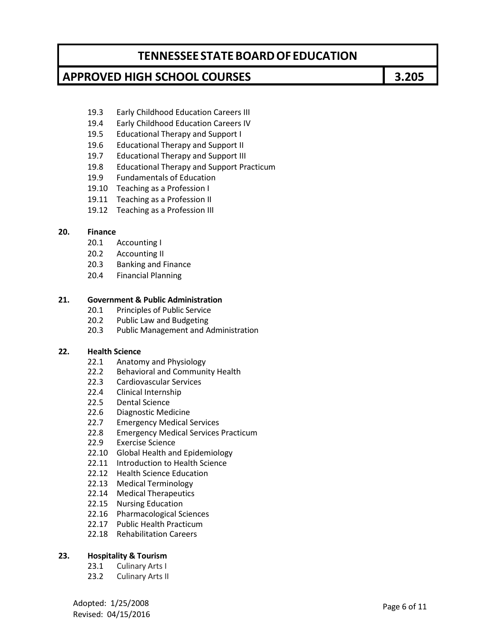### **APPROVED HIGH SCHOOL COURSES 3.205**

- 19.3 Early Childhood Education Careers III
- 19.4 Early Childhood Education Careers IV
- 19.5 Educational Therapy and Support I
- 19.6 Educational Therapy and Support II
- 19.7 Educational Therapy and Support III
- 19.8 Educational Therapy and Support Practicum
- 19.9 Fundamentals of Education
- 19.10 Teaching as a Profession I
- 19.11 Teaching as a Profession II
- 19.12 Teaching as a Profession III

#### **20. Finance**

- 20.1 Accounting I
- 20.2 Accounting II
- 20.3 Banking and Finance
- 20.4 Financial Planning

#### **21. Government & Public Administration**

- 20.1 Principles of Public Service
- 20.2 Public Law and Budgeting
- 20.3 Public Management and Administration

#### **22. Health Science**

- 22.1 Anatomy and Physiology
- 22.2 Behavioral and Community Health
- 22.3 Cardiovascular Services
- 22.4 Clinical Internship
- 22.5 Dental Science
- 22.6 Diagnostic Medicine
- 22.7 Emergency Medical Services
- 22.8 Emergency Medical Services Practicum
- 22.9 Exercise Science
- 22.10 Global Health and Epidemiology
- 22.11 Introduction to Health Science
- 22.12 Health Science Education
- 22.13 Medical Terminology
- 22.14 Medical Therapeutics
- 22.15 Nursing Education
- 22.16 Pharmacological Sciences
- 22.17 Public Health Practicum
- 22.18 Rehabilitation Careers

#### **23. Hospitality & Tourism**

- 23.1 Culinary Arts I
- 23.2 Culinary Arts II

Adopted: 1/25/2008 Revised: 04/15/2016 Page <sup>6</sup> of <sup>11</sup>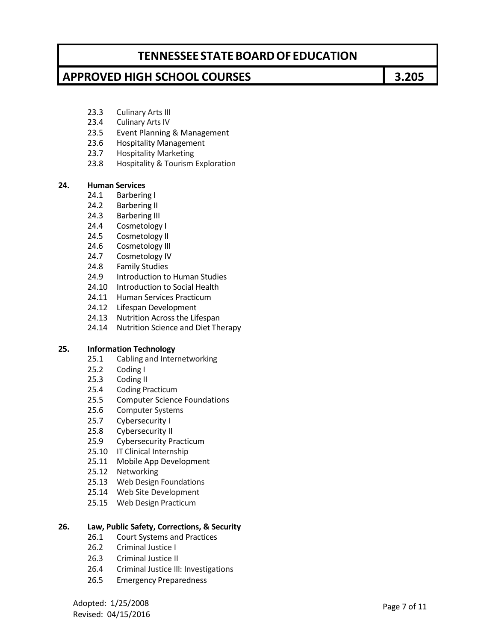### **APPROVED HIGH SCHOOL COURSES 3.205**

- 23.3 Culinary Arts III
- 23.4 Culinary Arts IV
- 23.5 Event Planning & Management
- 23.6 Hospitality Management
- 23.7 Hospitality Marketing
- 23.8 Hospitality & Tourism Exploration

#### **24. Human Services**

- 24.1 Barbering I
- 24.2 Barbering II
- 24.3 Barbering III
- 24.4 Cosmetology I
- 24.5 Cosmetology II
- 24.6 Cosmetology III
- 24.7 Cosmetology IV
- 24.8 Family Studies
- 24.9 Introduction to Human Studies
- 24.10 Introduction to Social Health
- 24.11 Human Services Practicum
- 24.12 Lifespan Development
- 24.13 Nutrition Across the Lifespan
- 24.14 Nutrition Science and Diet Therapy

### **25. Information Technology**

- 25.1 Cabling and Internetworking
- 25.2 Coding I
- 25.3 Coding II
- 25.4 Coding Practicum
- 25.5 Computer Science Foundations
- 25.6 Computer Systems
- 25.7 Cybersecurity I
- 25.8 Cybersecurity II
- 25.9 Cybersecurity Practicum
- 25.10 IT Clinical Internship
- 25.11 Mobile App Development
- 25.12 Networking
- 25.13 Web Design Foundations
- 25.14 Web Site Development
- 25.15 Web Design Practicum

#### **26. Law, Public Safety, Corrections, & Security**

- 26.1 Court Systems and Practices
- 26.2 Criminal Justice I
- 26.3 Criminal Justice II
- 26.4 Criminal Justice III: Investigations
- 26.5 Emergency Preparedness

Adopted: 1/25/2008 Adopted: 1/25/2008<br>Revised: 04/15/2016 Page 7 of 11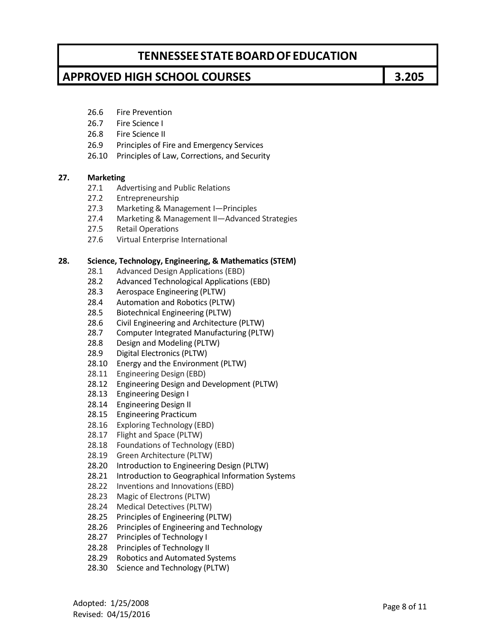### **APPROVED HIGH SCHOOL COURSES 3.205**

- 26.6 Fire Prevention
- 26.7 Fire Science I
- 26.8 Fire Science II
- 26.9 Principles of Fire and Emergency Services
- 26.10 Principles of Law, Corrections, and Security

### **27. Marketing**

- 27.1 Advertising and Public Relations
- 27.2 Entrepreneurship
- 27.3 Marketing & Management I—Principles
- 27.4 Marketing & Management II—Advanced Strategies
- 27.5 Retail Operations
- 27.6 Virtual Enterprise International

#### **28. Science, Technology, Engineering, & Mathematics (STEM)**

- 28.1 Advanced Design Applications (EBD)
- 28.2 Advanced Technological Applications (EBD)
- 28.3 Aerospace Engineering (PLTW)
- 28.4 Automation and Robotics (PLTW)
- 28.5 Biotechnical Engineering (PLTW)
- 28.6 Civil Engineering and Architecture (PLTW)
- 28.7 Computer Integrated Manufacturing (PLTW)
- 28.8 Design and Modeling (PLTW)
- 28.9 Digital Electronics (PLTW)
- 28.10 Energy and the Environment (PLTW)
- 28.11 Engineering Design (EBD)
- 28.12 Engineering Design and Development (PLTW)
- 28.13 Engineering Design I
- 28.14 Engineering Design II
- 28.15 Engineering Practicum
- 28.16 Exploring Technology (EBD)
- 28.17 Flight and Space (PLTW)
- 28.18 Foundations of Technology (EBD)
- 28.19 Green Architecture (PLTW)
- 28.20 Introduction to Engineering Design (PLTW)
- 28.21 Introduction to Geographical Information Systems
- 28.22 Inventions and Innovations(EBD)
- 28.23 Magic of Electrons (PLTW)
- 28.24 Medical Detectives (PLTW)
- 28.25 Principles of Engineering (PLTW)
- 28.26 Principles of Engineering and Technology
- 28.27 Principles of Technology I
- 28.28 Principles of Technology II
- 28.29 Robotics and Automated Systems
- 28.30 Science and Technology (PLTW)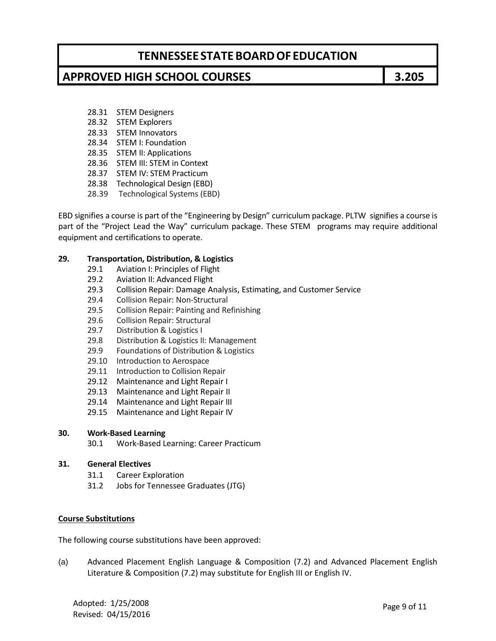### **APPROVED HIGH SCHOOL COURSES 3.205**

- 28.31 STEM Designers
- 28.32 STEM Explorers
- 28.33 STEM Innovators
- 28.34 STEM I: Foundation
- 28.35 STEM II: Applications
- 28.36 STEM III: STEM in Context
- 28.37 STEM IV: STEM Practicum
- 28.38 Technological Design (EBD)
- 28.39 Technological Systems (EBD)

EBD signifies a course is part of the "Engineering by Design" curriculum package. PLTW signifies a course is part of the "Project Lead the Way" curriculum package. These STEM programs may require additional equipment and certifications to operate.

#### **29. Transportation, Distribution, & Logistics**

- 29.1 Aviation I: Principles of Flight
- 29.2 Aviation II: Advanced Flight
- 29.3 Collision Repair: Damage Analysis, Estimating, and Customer Service
- 29.4 Collision Repair: Non-Structural
- 29.5 Collision Repair: Painting and Refinishing
- 29.6 Collision Repair: Structural
- 29.7 Distribution & Logistics I
- 29.8 Distribution & Logistics II: Management
- 29.9 Foundations of Distribution & Logistics
- 29.10 Introduction to Aerospace
- 29.11 Introduction to Collision Repair
- 29.12 Maintenance and Light Repair I
- 29.13 Maintenance and Light Repair II
- 29.14 Maintenance and Light Repair III
- 29.15 Maintenance and Light Repair IV

#### **30. Work-Based Learning**

30.1 Work-Based Learning: Career Practicum

#### **31. General Electives**

- 31.1 Career Exploration
- 31.2 Jobs for Tennessee Graduates (JTG)

#### **Course Substitutions**

The following course substitutions have been approved:

(a) Advanced Placement English Language & Composition (7.2) and Advanced Placement English Literature & Composition (7.2) may substitute for English III or English IV.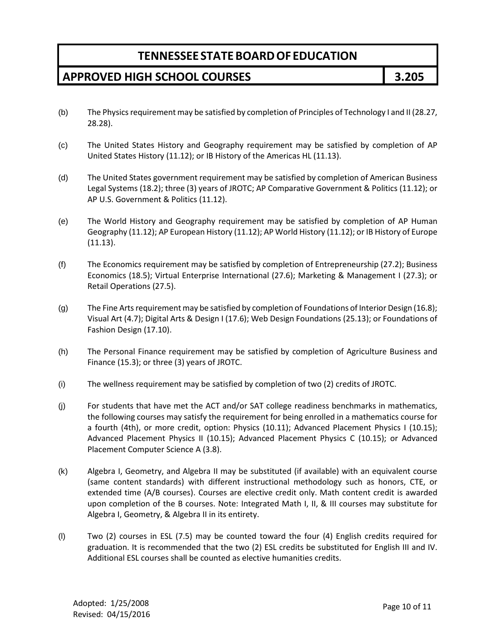## **APPROVED HIGH SCHOOL COURSES 3.205**

- (b) The Physics requirement may be satisfied by completion of Principles of Technology I and II (28.27, 28.28).
- (c) The United States History and Geography requirement may be satisfied by completion of AP United States History (11.12); or IB History of the Americas HL (11.13).
- (d) The United States government requirement may be satisfied by completion of American Business Legal Systems (18.2); three (3) years of JROTC; AP Comparative Government & Politics (11.12); or AP U.S. Government & Politics (11.12).
- (e) The World History and Geography requirement may be satisfied by completion of AP Human Geography (11.12); AP European History (11.12); AP World History (11.12); or IB History of Europe (11.13).
- (f) The Economics requirement may be satisfied by completion of Entrepreneurship (27.2); Business Economics (18.5); Virtual Enterprise International (27.6); Marketing & Management I (27.3); or Retail Operations (27.5).
- (g) The Fine Arts requirement may be satisfied by completion of Foundations of Interior Design (16.8); Visual Art (4.7); Digital Arts & Design I (17.6); Web Design Foundations (25.13); or Foundations of Fashion Design (17.10).
- (h) The Personal Finance requirement may be satisfied by completion of Agriculture Business and Finance (15.3); or three (3) years of JROTC.
- (i) The wellness requirement may be satisfied by completion of two (2) credits of JROTC.
- (j) For students that have met the ACT and/or SAT college readiness benchmarks in mathematics, the following courses may satisfy the requirement for being enrolled in a mathematics course for a fourth (4th), or more credit, option: Physics (10.11); Advanced Placement Physics I (10.15); Advanced Placement Physics II (10.15); Advanced Placement Physics C (10.15); or Advanced Placement Computer Science A (3.8).
- (k) Algebra I, Geometry, and Algebra II may be substituted (if available) with an equivalent course (same content standards) with different instructional methodology such as honors, CTE, or extended time (A/B courses). Courses are elective credit only. Math content credit is awarded upon completion of the B courses. Note: Integrated Math I, II, & III courses may substitute for Algebra I, Geometry, & Algebra II in its entirety.
- (l) Two (2) courses in ESL (7.5) may be counted toward the four (4) English credits required for graduation. It is recommended that the two (2) ESL credits be substituted for English III and IV. Additional ESL courses shall be counted as elective humanities credits.